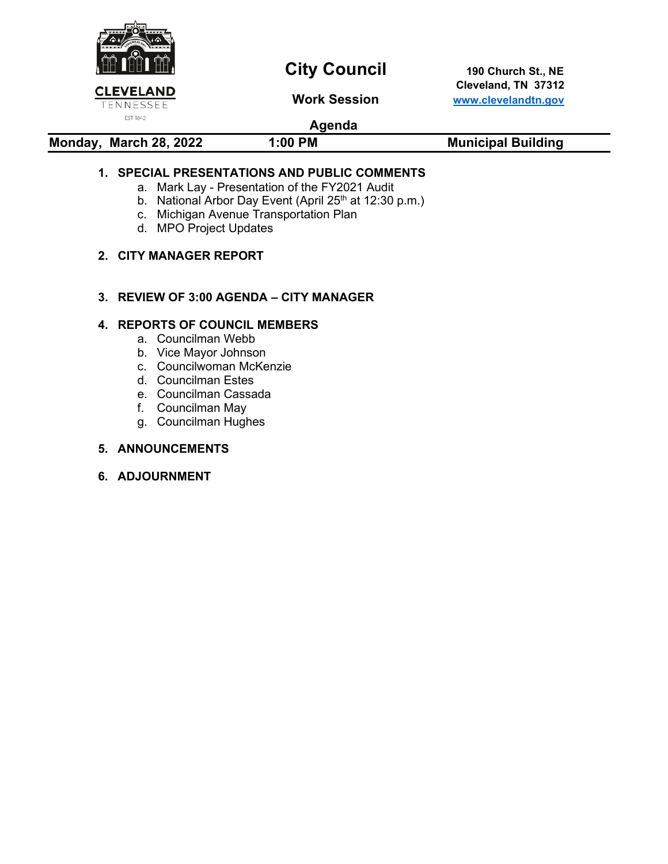

# **City Council** 190 Church St., NE

 **Cleveland, TN 37312 Work Session [www.clevelandtn.gov](http://www.clevelandtn.gov/)**

### **Agenda**

| Monday, March 28, 2022 | 1:00 PM | <b>Municipal Building</b> |
|------------------------|---------|---------------------------|
|                        |         |                           |

### **1. SPECIAL PRESENTATIONS AND PUBLIC COMMENTS**

- a. Mark Lay Presentation of the FY2021 Audit
- b. National Arbor Day Event (April 25<sup>th</sup> at 12:30 p.m.)
- c. Michigan Avenue Transportation Plan
- d. MPO Project Updates

### **2. CITY MANAGER REPORT**

### **3. REVIEW OF 3:00 AGENDA – CITY MANAGER**

### **4. REPORTS OF COUNCIL MEMBERS**

- a. Councilman Webb
- b. Vice Mayor Johnson
- c. Councilwoman McKenzie
- d. Councilman Estes
- e. Councilman Cassada
- f. Councilman May
- g. Councilman Hughes

### **5. ANNOUNCEMENTS**

**6. ADJOURNMENT**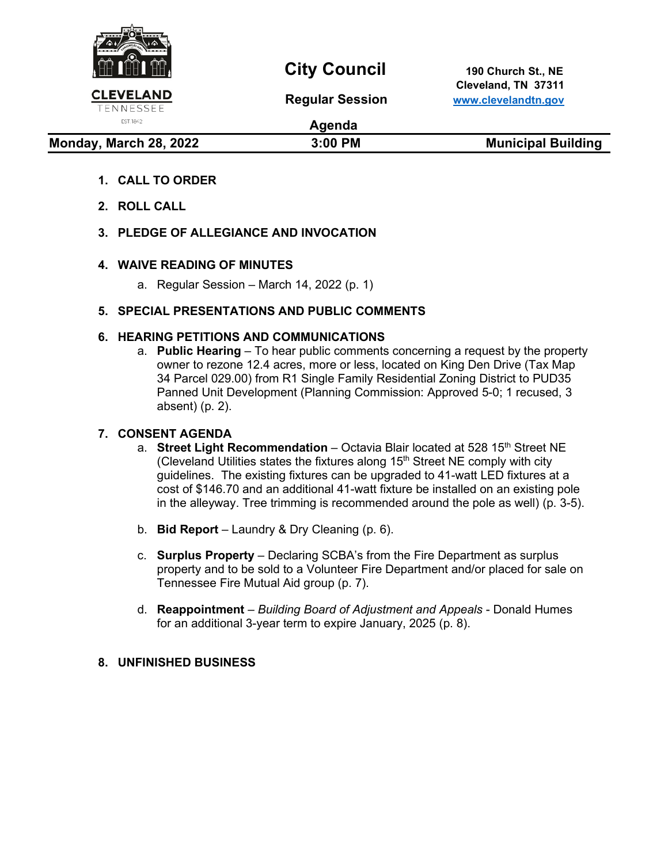

EST. 1842

## **City Council** 190 Church St., NE

 **Cleveland, TN 37311 Regular Session [www.clevelandtn.gov](http://www.clevelandtn.gov/)**

## **Agenda**

### **Monday, March 28, 2022** 3:00 PM Municipal Building

- **1. CALL TO ORDER**
- **2. ROLL CALL**
- **3. PLEDGE OF ALLEGIANCE AND INVOCATION**

### **4. WAIVE READING OF MINUTES**

a. Regular Session – March 14, 2022 (p. 1)

### **5. SPECIAL PRESENTATIONS AND PUBLIC COMMENTS**

### **6. HEARING PETITIONS AND COMMUNICATIONS**

a. **Public Hearing** – To hear public comments concerning a request by the property owner to rezone 12.4 acres, more or less, located on King Den Drive (Tax Map 34 Parcel 029.00) from R1 Single Family Residential Zoning District to PUD35 Panned Unit Development (Planning Commission: Approved 5-0; 1 recused, 3 absent) (p. 2).

### **7. CONSENT AGENDA**

- a. **Street Light Recommendation** Octavia Blair located at 528 15<sup>th</sup> Street NE (Cleveland Utilities states the fixtures along  $15<sup>th</sup>$  Street NE comply with city guidelines. The existing fixtures can be upgraded to 41-watt LED fixtures at a cost of \$146.70 and an additional 41-watt fixture be installed on an existing pole in the alleyway. Tree trimming is recommended around the pole as well) (p. 3-5).
- b. **Bid Report** Laundry & Dry Cleaning (p. 6).
- c. **Surplus Property** Declaring SCBA's from the Fire Department as surplus property and to be sold to a Volunteer Fire Department and/or placed for sale on Tennessee Fire Mutual Aid group (p. 7).
- d. **Reappointment**  *Building Board of Adjustment and Appeals*  Donald Humes for an additional 3-year term to expire January, 2025 (p. 8).

### **8. UNFINISHED BUSINESS**